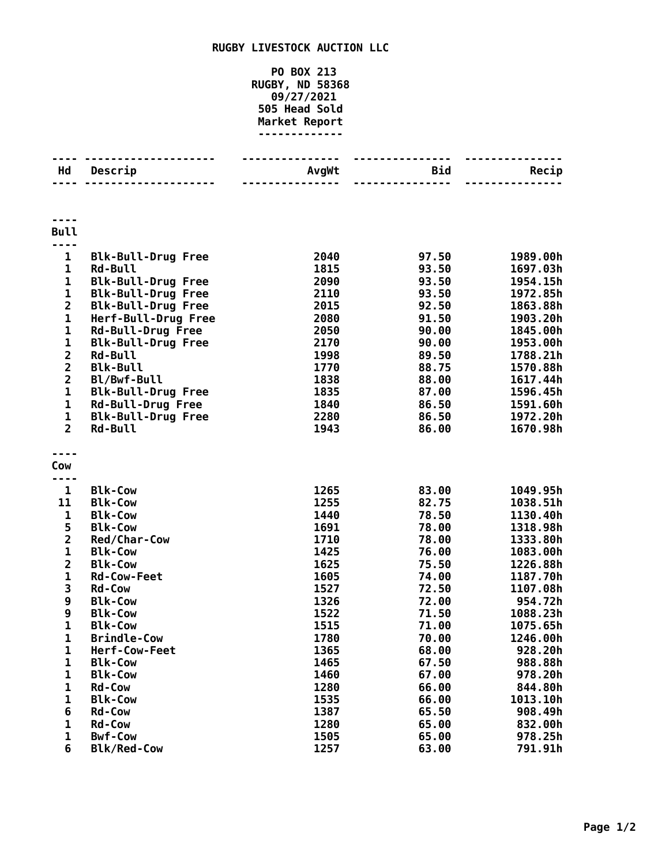## **RUGBY LIVESTOCK AUCTION LLC**

**PO BOX 213 RUGBY, ND 58368 09/27/2021 Head Sold Market Report -------------**

| Hd                                                 | Descrip                           | AvgWt        | <b>Bid</b>     | Recip                |
|----------------------------------------------------|-----------------------------------|--------------|----------------|----------------------|
|                                                    |                                   |              | <u>.</u>       |                      |
|                                                    |                                   |              |                |                      |
| <b>Bull</b><br>----                                |                                   |              |                |                      |
| 1                                                  | <b>Blk-Bull-Drug Free</b>         | 2040         | 97.50          | 1989.00h             |
| $\mathbf{1}$                                       | <b>Rd-Bull</b>                    | 1815         | 93.50          | 1697.03h             |
| 1                                                  | <b>Blk-Bull-Drug Free</b>         | 2090         | 93.50          | 1954.15h             |
| $\mathbf 1$                                        | <b>Blk-Bull-Drug Free</b>         | 2110         | 93.50          | 1972.85h             |
| $\overline{\mathbf{c}}$                            | <b>Blk-Bull-Drug Free</b>         | 2015         | 92.50          | 1863.88h             |
| $\mathbf 1$                                        | Herf-Bull-Drug Free               | 2080         | 91.50          | 1903.20h             |
| 1                                                  | <b>Rd-Bull-Drug Free</b>          | 2050         | 90.00          | 1845.00h             |
| 1                                                  | <b>Blk-Bull-Drug Free</b>         | 2170         | 90.00          | 1953.00h             |
| $\overline{\mathbf{c}}$<br>$\overline{\mathbf{c}}$ | <b>Rd-Bull</b><br><b>Blk-Bull</b> | 1998<br>1770 | 89.50<br>88.75 | 1788.21h<br>1570.88h |
| $\overline{\mathbf{2}}$                            | Bl/Bwf-Bull                       | 1838         | 88.00          | 1617.44h             |
| $\mathbf 1$                                        | <b>Blk-Bull-Drug Free</b>         | 1835         | 87.00          | 1596.45h             |
| 1                                                  | <b>Rd-Bull-Drug Free</b>          | 1840         | 86.50          | 1591.60h             |
| $\mathbf{1}$                                       | <b>Blk-Bull-Drug Free</b>         | 2280         | 86.50          | 1972.20h             |
| $\overline{2}$                                     | Rd-Bull                           | 1943         | 86.00          | 1670.98h             |
|                                                    |                                   |              |                |                      |
| Cow                                                |                                   |              |                |                      |
|                                                    |                                   |              |                |                      |
| $\mathbf{1}$                                       | <b>Blk-Cow</b>                    | 1265         | 83.00          | 1049.95h             |
| 11                                                 | <b>Blk-Cow</b>                    | 1255         | 82.75          | 1038.51h             |
| 1                                                  | <b>Blk-Cow</b>                    | 1440         | 78.50          | 1130.40h             |
| 5                                                  | <b>Blk-Cow</b>                    | 1691         | 78.00          | 1318.98h             |
| $\overline{\mathbf{c}}$<br>$\mathbf{1}$            | Red/Char-Cow<br><b>Blk-Cow</b>    | 1710         | 78.00          | 1333.80h             |
| $\overline{\mathbf{2}}$                            | <b>Blk-Cow</b>                    | 1425<br>1625 | 76.00<br>75.50 | 1083.00h<br>1226.88h |
| $\mathbf 1$                                        | <b>Rd-Cow-Feet</b>                | 1605         | 74.00          | 1187.70h             |
| 3                                                  | <b>Rd-Cow</b>                     | 1527         | 72.50          | 1107.08h             |
| 9                                                  | <b>Blk-Cow</b>                    | 1326         | 72.00          | 954.72h              |
| 9                                                  | <b>Blk-Cow</b>                    | 1522         | 71.50          | 1088.23h             |
| $\mathbf 1$                                        | <b>Blk-Cow</b>                    | 1515         | 71.00          | 1075.65h             |
| 1                                                  | <b>Brindle-Cow</b>                | 1780         | 70.00          | 1246.00h             |
| 1                                                  | Herf-Cow-Feet                     | 1365         | 68.00          | 928.20h              |
| $\mathbf{1}$                                       | <b>Blk-Cow</b>                    | 1465         | 67.50          | 988.88h              |
| 1                                                  | <b>Blk-Cow</b>                    | 1460         | 67.00          | 978.20h              |
| 1                                                  | <b>Rd-Cow</b>                     | 1280         | 66.00          | 844.80h              |
| $\mathbf{1}$                                       | <b>Blk-Cow</b>                    | 1535         | 66.00          | 1013.10h<br>908.49h  |
| 6<br>1                                             | <b>Rd-Cow</b><br><b>Rd-Cow</b>    | 1387<br>1280 | 65.50<br>65.00 | 832.00h              |
| 1                                                  | <b>Bwf-Cow</b>                    | 1505         | 65.00          | 978.25h              |
| 6                                                  | <b>Blk/Red-Cow</b>                | 1257         | 63.00          | 791.91h              |
|                                                    |                                   |              |                |                      |